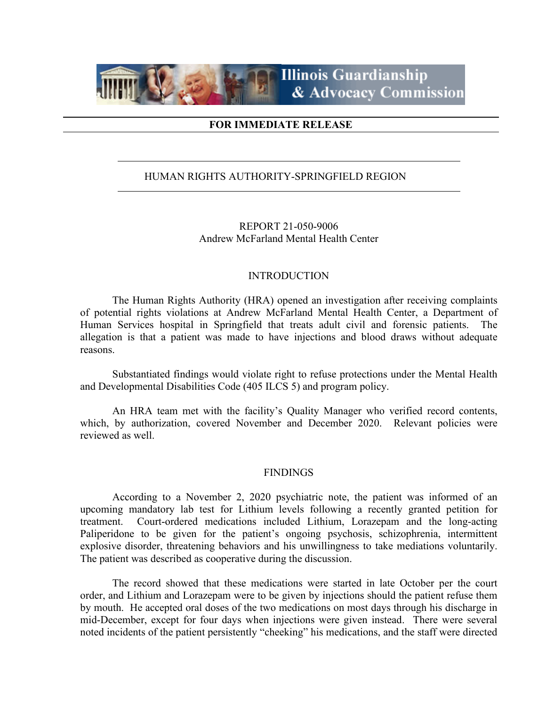

## **FOR IMMEDIATE RELEASE**

## HUMAN RIGHTS AUTHORITY-SPRINGFIELD REGION

REPORT 21-050-9006 Andrew McFarland Mental Health Center

### INTRODUCTION

The Human Rights Authority (HRA) opened an investigation after receiving complaints of potential rights violations at Andrew McFarland Mental Health Center, a Department of Human Services hospital in Springfield that treats adult civil and forensic patients. The allegation is that a patient was made to have injections and blood draws without adequate reasons.

Substantiated findings would violate right to refuse protections under the Mental Health and Developmental Disabilities Code (405 ILCS 5) and program policy.

An HRA team met with the facility's Quality Manager who verified record contents, which, by authorization, covered November and December 2020. Relevant policies were reviewed as well.

#### FINDINGS

According to a November 2, 2020 psychiatric note, the patient was informed of an upcoming mandatory lab test for Lithium levels following a recently granted petition for treatment. Court-ordered medications included Lithium, Lorazepam and the long-acting Paliperidone to be given for the patient's ongoing psychosis, schizophrenia, intermittent explosive disorder, threatening behaviors and his unwillingness to take mediations voluntarily. The patient was described as cooperative during the discussion.

The record showed that these medications were started in late October per the court order, and Lithium and Lorazepam were to be given by injections should the patient refuse them by mouth. He accepted oral doses of the two medications on most days through his discharge in mid-December, except for four days when injections were given instead. There were several noted incidents of the patient persistently "cheeking" his medications, and the staff were directed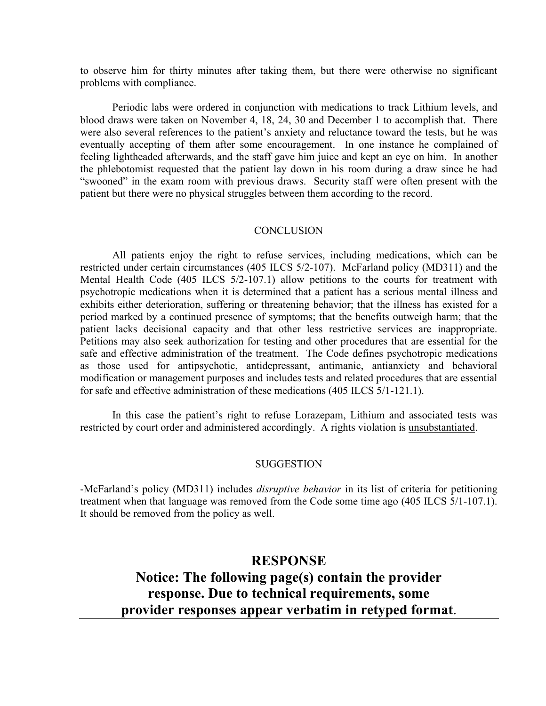to observe him for thirty minutes after taking them, but there were otherwise no significant problems with compliance.

Periodic labs were ordered in conjunction with medications to track Lithium levels, and blood draws were taken on November 4, 18, 24, 30 and December 1 to accomplish that. There were also several references to the patient's anxiety and reluctance toward the tests, but he was eventually accepting of them after some encouragement. In one instance he complained of feeling lightheaded afterwards, and the staff gave him juice and kept an eye on him. In another the phlebotomist requested that the patient lay down in his room during a draw since he had "swooned" in the exam room with previous draws. Security staff were often present with the patient but there were no physical struggles between them according to the record.

### **CONCLUSION**

All patients enjoy the right to refuse services, including medications, which can be restricted under certain circumstances (405 ILCS 5/2-107). McFarland policy (MD311) and the Mental Health Code (405 ILCS 5/2-107.1) allow petitions to the courts for treatment with psychotropic medications when it is determined that a patient has a serious mental illness and exhibits either deterioration, suffering or threatening behavior; that the illness has existed for a period marked by a continued presence of symptoms; that the benefits outweigh harm; that the patient lacks decisional capacity and that other less restrictive services are inappropriate. Petitions may also seek authorization for testing and other procedures that are essential for the safe and effective administration of the treatment. The Code defines psychotropic medications as those used for antipsychotic, antidepressant, antimanic, antianxiety and behavioral modification or management purposes and includes tests and related procedures that are essential for safe and effective administration of these medications (405 ILCS 5/1-121.1).

In this case the patient's right to refuse Lorazepam, Lithium and associated tests was restricted by court order and administered accordingly. A rights violation is unsubstantiated.

#### SUGGESTION

-McFarland's policy (MD311) includes *disruptive behavior* in its list of criteria for petitioning treatment when that language was removed from the Code some time ago (405 ILCS 5/1-107.1). It should be removed from the policy as well.

# **RESPONSE Notice: The following page(s) contain the provider response. Due to technical requirements, some provider responses appear verbatim in retyped format**.